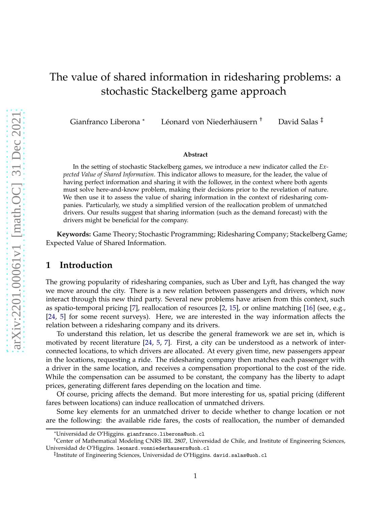# The value of shared information in ridesharing problems: a stochastic Stackelberg game approach

Gianfranco Liberona \* Léonard von Niederhäusern † David Salas ‡

#### **Abstract**

In the setting of stochastic Stackelberg games, we introduce a new indicator called the *Expected Value of Shared Information*. This indicator allows to measure, for the leader, the value of having perfect information and sharing it with the follower, in the context where both agents must solve here-and-know problem, making their decisions prior to the revelation of nature. We then use it to assess the value of sharing information in the context of ridesharing companies. Particularly, we study a simplified version of the reallocation problem of unmatched drivers. Our results suggest that sharing information (such as the demand forecast) with the drivers might be beneficial for the company.

**Keywords:** Game Theory; Stochastic Programming; Ridesharing Company; Stackelberg Game; Expected Value of Shared Information.

#### **1 Introduction**

The growing popularity of ridesharing companies, such as Uber and Lyft, has changed the way we move around the city. There is a new relation between passengers and drivers, which now interact through this new third party. Several new problems have arisen from this context, such as spatio-temporal pricing [\[7\]](#page-16-0), reallocation of resources [\[2,](#page-15-0) [15\]](#page-16-1), or online matching [\[16\]](#page-16-2) (see, e.g., [\[24,](#page-17-0) [5\]](#page-16-3) for some recent surveys). Here, we are interested in the way information affects the relation between a ridesharing company and its drivers.

To understand this relation, let us describe the general framework we are set in, which is motivated by recent literature [\[24,](#page-17-0) [5,](#page-16-3) [7\]](#page-16-0). First, a city can be understood as a network of interconnected locations, to which drivers are allocated. At every given time, new passengers appear in the locations, requesting a ride. The ridesharing company then matches each passenger with a driver in the same location, and receives a compensation proportional to the cost of the ride. While the compensation can be assumed to be constant, the company has the liberty to adapt prices, generating different fares depending on the location and time.

Of course, pricing affects the demand. But more interesting for us, spatial pricing (different fares between locations) can induce reallocation of unmatched drivers.

Some key elements for an unmatched driver to decide whether to change location or not are the following: the available ride fares, the costs of reallocation, the number of demanded

<sup>\*</sup>Universidad de O'Higgins. gianfranco.liberona@uoh.cl

<sup>†</sup>Center of Mathematical Modeling CNRS IRL 2807, Universidad de Chile, and Institute of Engineering Sciences, Universidad de O'Higgins. leonard.vonniederhausern@uoh.cl

<sup>‡</sup> Institute of Engineering Sciences, Universidad de O'Higgins. david.salas@uoh.cl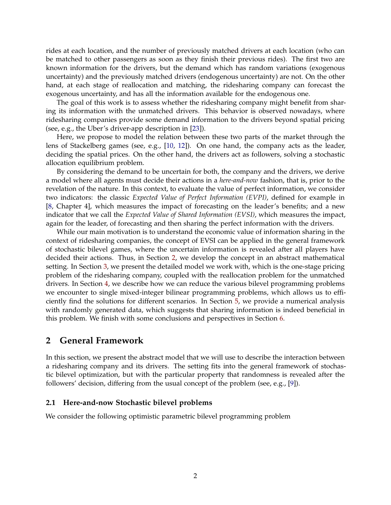rides at each location, and the number of previously matched drivers at each location (who can be matched to other passengers as soon as they finish their previous rides). The first two are known information for the drivers, but the demand which has random variations (exogenous uncertainty) and the previously matched drivers (endogenous uncertainty) are not. On the other hand, at each stage of reallocation and matching, the ridesharing company can forecast the exogenous uncertainty, and has all the information available for the endogenous one.

The goal of this work is to assess whether the ridesharing company might benefit from sharing its information with the unmatched drivers. This behavior is observed nowadays, where ridesharing companies provide some demand information to the drivers beyond spatial pricing (see, e.g., the Uber's driver-app description in [\[23\]](#page-17-1)).

Here, we propose to model the relation between these two parts of the market through the lens of Stackelberg games (see, e.g., [\[10,](#page-16-4) [12\]](#page-16-5)). On one hand, the company acts as the leader, deciding the spatial prices. On the other hand, the drivers act as followers, solving a stochastic allocation equilibrium problem.

By considering the demand to be uncertain for both, the company and the drivers, we derive a model where all agents must decide their actions in a *here-and-now* fashion, that is, prior to the revelation of the nature. In this context, to evaluate the value of perfect information, we consider two indicators: the classic *Expected Value of Perfect Information (EVPI)*, defined for example in [\[8,](#page-16-6) Chapter 4], which measures the impact of forecasting on the leader's benefits; and a new indicator that we call the *Expected Value of Shared Information (EVSI)*, which measures the impact, again for the leader, of forecasting and then sharing the perfect information with the drivers.

While our main motivation is to understand the economic value of information sharing in the context of ridesharing companies, the concept of EVSI can be applied in the general framework of stochastic bilevel games, where the uncertain information is revealed after all players have decided their actions. Thus, in Section [2,](#page-1-0) we develop the concept in an abstract mathematical setting. In Section [3,](#page-5-0) we present the detailed model we work with, which is the one-stage pricing problem of the ridesharing company, coupled with the reallocation problem for the unmatched drivers. In Section [4,](#page-7-0) we describe how we can reduce the various bilevel programming problems we encounter to single mixed-integer bilinear programming problems, which allows us to efficiently find the solutions for different scenarios. In Section [5,](#page-12-0) we provide a numerical analysis with randomly generated data, which suggests that sharing information is indeed beneficial in this problem. We finish with some conclusions and perspectives in Section [6.](#page-14-0)

# <span id="page-1-0"></span>**2 General Framework**

In this section, we present the abstract model that we will use to describe the interaction between a ridesharing company and its drivers. The setting fits into the general framework of stochastic bilevel optimization, but with the particular property that randomness is revealed after the followers' decision, differing from the usual concept of the problem (see, e.g., [\[9\]](#page-16-7)).

#### **2.1 Here-and-now Stochastic bilevel problems**

We consider the following optimistic parametric bilevel programming problem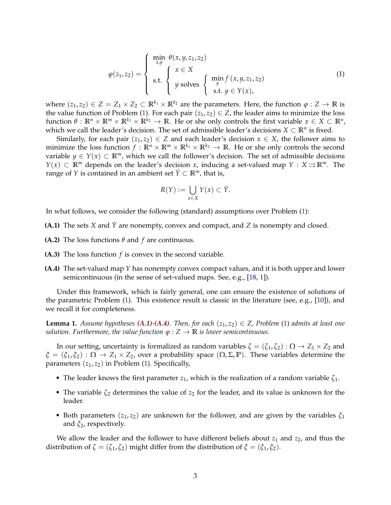<span id="page-2-0"></span>
$$
\varphi(z_1, z_2) = \begin{cases}\n\min_{x, y} \theta(x, y, z_1, z_2) \\
\text{s.t.} \\
y \text{ solves } \begin{cases}\n\min_{y} f(x, y, z_1, z_2) \\
y \\
\text{s.t.} \quad y \in Y(x),\n\end{cases}\n\end{cases}
$$
\n(1)

where  $(z_1, z_2) \in Z = Z_1 \times Z_2 \subset \mathbb{R}^{k_1} \times \mathbb{R}^{k_2}$  are the parameters. Here, the function  $\varphi : Z \to \mathbb{R}$  is the value function of Problem [\(1\)](#page-2-0). For each pair  $(z_1, z_2) \in Z$ , the leader aims to minimize the loss  $f$ unction  $\theta$  :  $\mathbb{R}^n \times \mathbb{R}^m \times \mathbb{R}^{k_1} \times \mathbb{R}^{k_2} \to \mathbb{R}$ . He or she only controls the first variable  $x \in X \subset \mathbb{R}^n$ , which we call the leader's decision. The set of admissible leader's decisions  $X \subset \mathbb{R}^n$  is fixed.

Similarly, for each pair  $(z_1, z_2) \in Z$  and each leader's decision  $x \in X$ , the follower aims to minimize the loss function  $f: \mathbb{R}^n \times \mathbb{R}^m \times \mathbb{R}^{k_1} \times \mathbb{R}^{k_2} \to \mathbb{R}$ . He or she only controls the second variable  $y \in Y(x) \subset \mathbb{R}^m$ , which we call the follower's decision. The set of admissible decisions *Y*(*x*) ⊂ **R**<sup>*m*</sup> depends on the leader's decision *x*, inducing a set-valued map *Y* : *X* ⇒ **R**<sup>*m*</sup>. The range of *Y* is contained in an ambient set  $\bar{Y} \subset \mathbb{R}^m$ , that is,

$$
R(Y) := \bigcup_{x \in X} Y(x) \subset \overline{Y}.
$$

<span id="page-2-1"></span>In what follows, we consider the following (standard) assumptions over Problem [\(1\)](#page-2-0):

- **(A.1)** The sets *X* and  $\bar{Y}$  are nonempty, convex and compact, and *Z* is nonempty and closed.
- **(A.2)** The loss functions *θ* and *f* are continuous.
- <span id="page-2-2"></span>**(A.3)** The loss function *f* is convex in the second variable.
- **(A.4)** The set-valued map *Y* has nonempty convex compact values, and it is both upper and lower semicontinuous (in the sense of set-valued maps. See, e.g., [\[18,](#page-16-8) [1\]](#page-15-1)).

Under this framework, which is fairly general, one can ensure the existence of solutions of the parametric Problem  $(1)$ . This existence result is classic in the literature (see, e.g., [\[10\]](#page-16-4)), and we recall it for completeness.

**Lemma 1.** Assume hypotheses  $(A.1)$ - $(A.4)$ *. Then, for each*  $(z_1, z_2) \in Z$ *, Problem* [\(1\)](#page-2-0) *admits at least one solution. Furthermore, the value function*  $\varphi$  :  $Z \to \mathbb{R}$  *is lower semicontinuous.* 

In our setting, uncertainty is formalized as random variables  $\zeta = (\zeta_1, \zeta_2) : \Omega \to Z_1 \times Z_2$  and  $\zeta = (\zeta_1, \zeta_2) : \Omega \to Z_1 \times Z_2$ , over a probability space  $(\Omega, \Sigma, \mathbb{P})$ . These variables determine the parameters  $(z_1, z_2)$  in Problem [\(1\)](#page-2-0). Specifically,

- The leader knows the first parameter  $z_1$ , which is the realization of a random variable  $\zeta_1$ .
- The variable *ζ*<sup>2</sup> determines the value of *z*<sup>2</sup> for the leader, and its value is unknown for the leader.
- Both parameters  $(z_1, z_2)$  are unknown for the follower, and are given by the variables  $\xi_1$ and *ξ*2, respectively.

We allow the leader and the follower to have different beliefs about  $z_1$  and  $z_2$ , and thus the distribution of  $\zeta = (\zeta_1, \zeta_2)$  might differ from the distribution of  $\zeta = (\zeta_1, \zeta_2)$ .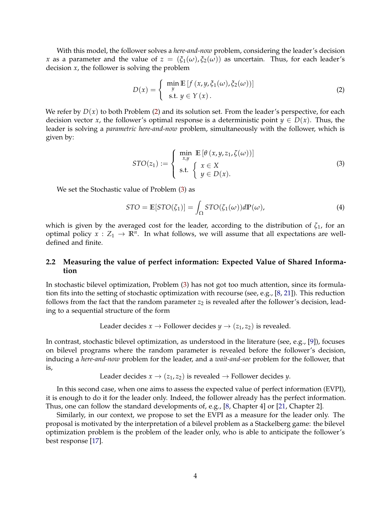With this model, the follower solves a *here-and-now* problem, considering the leader's decision *x* as a parameter and the value of  $z = (\xi_1(\omega), \xi_2(\omega))$  as uncertain. Thus, for each leader's decision *x*, the follower is solving the problem

<span id="page-3-0"></span>
$$
D(x) = \begin{cases} \min_{y} \mathbb{E} \left[ f(x, y, \xi_1(\omega), \xi_2(\omega)) \right] \\ \text{s.t. } y \in Y(x). \end{cases}
$$
 (2)

We refer by  $D(x)$  to both Problem [\(2\)](#page-3-0) and its solution set. From the leader's perspective, for each decision vector *x*, the follower's optimal response is a deterministic point  $y \in D(x)$ . Thus, the leader is solving a *parametric here-and-now* problem, simultaneously with the follower, which is given by:

<span id="page-3-1"></span>
$$
STO(z_1) := \begin{cases} \min_{x,y} \mathbb{E}\left[\theta\left(x,y,z_1,\zeta(\omega)\right)\right] \\ \text{s.t.} \quad \left\{\begin{array}{l} x \in X \\ y \in D(x). \end{array}\right. \end{cases} \tag{3}
$$

We set the Stochastic value of Problem [\(3\)](#page-3-1) as

$$
STO = \mathbb{E}[STO(\zeta_1)] = \int_{\Omega} STO(\zeta_1(\omega))d\mathbb{P}(\omega), \tag{4}
$$

which is given by the averaged cost for the leader, according to the distribution of *ζ*1, for an optimal policy  $x: Z_1 \to \mathbb{R}^n$ . In what follows, we will assume that all expectations are welldefined and finite.

#### **2.2 Measuring the value of perfect information: Expected Value of Shared Information**

In stochastic bilevel optimization, Problem [\(3\)](#page-3-1) has not got too much attention, since its formulation fits into the setting of stochastic optimization with recourse (see, e.g., [\[8,](#page-16-6) [21\]](#page-17-2)). This reduction follows from the fact that the random parameter  $z_2$  is revealed after the follower's decision, leading to a sequential structure of the form

Leader decides 
$$
x \rightarrow
$$
 Follower decides  $y \rightarrow (z_1, z_2)$  is revealed.

In contrast, stochastic bilevel optimization, as understood in the literature (see, e.g., [\[9\]](#page-16-7)), focuses on bilevel programs where the random parameter is revealed before the follower's decision, inducing a *here-and-now* problem for the leader, and a *wait-and-see* problem for the follower, that is,

```
Leader decides x \rightarrow (z_1, z_2) is revealed \rightarrow Follower decides y.
```
In this second case, when one aims to assess the expected value of perfect information (EVPI), it is enough to do it for the leader only. Indeed, the follower already has the perfect information. Thus, one can follow the standard developments of, e.g., [\[8,](#page-16-6) Chapter 4] or [\[21,](#page-17-2) Chapter 2].

Similarly, in our context, we propose to set the EVPI as a measure for the leader only. The proposal is motivated by the interpretation of a bilevel problem as a Stackelberg game: the bilevel optimization problem is the problem of the leader only, who is able to anticipate the follower's best response [\[17\]](#page-16-9).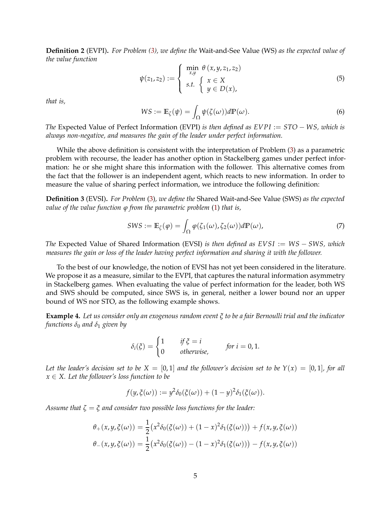**Definition 2** (EVPI)**.** *For Problem [\(3\)](#page-3-1), we define the* Wait-and-See Value (WS) *as the expected value of the value function*

<span id="page-4-0"></span>
$$
\psi(z_1, z_2) := \begin{cases} \min_{x, y} \theta(x, y, z_1, z_2) \\ s.t. \begin{cases} x \in X \\ y \in D(x), \end{cases} \end{cases}
$$
(5)

*that is,*

$$
WS := \mathbb{E}_{\zeta}(\psi) = \int_{\Omega} \psi(\zeta(\omega)) d\mathbb{P}(\omega).
$$
 (6)

*The* Expected Value of Perfect Information (EVPI) *is then defined as EVPI* := *STO* − *WS, which is always non-negative, and measures the gain of the leader under perfect information.*

While the above definition is consistent with the interpretation of Problem [\(3\)](#page-3-1) as a parametric problem with recourse, the leader has another option in Stackelberg games under perfect information: he or she might share this information with the follower. This alternative comes from the fact that the follower is an independent agent, which reacts to new information. In order to measure the value of sharing perfect information, we introduce the following definition:

**Definition 3** (EVSI)**.** *For Problem* [\(3\)](#page-3-1)*, we define the* Shared Wait-and-See Value (SWS) *as the expected value of the value function ϕ from the parametric problem* [\(1\)](#page-2-0) *that is,*

$$
SWS := \mathbb{E}_{\zeta}(\varphi) = \int_{\Omega} \varphi(\zeta_1(\omega), \zeta_2(\omega)) d\mathbb{P}(\omega), \tag{7}
$$

*The* Expected Value of Shared Information (EVSI) *is then defined as EVSI* := *WS* − *SWS, which measures the gain or loss of the leader having perfect information and sharing it with the follower.*

To the best of our knowledge, the notion of EVSI has not yet been considered in the literature. We propose it as a measure, similar to the EVPI, that captures the natural information asymmetry in Stackelberg games. When evaluating the value of perfect information for the leader, both WS and SWS should be computed, since SWS is, in general, neither a lower bound nor an upper bound of WS nor STO, as the following example shows.

**Example 4.** *Let us consider only an exogenous random event ξ to be a fair Bernoulli trial and the indicator functions*  $\delta_0$  *and*  $\delta_1$  *given* by

$$
\delta_i(\xi) = \begin{cases} 1 & \text{if } \xi = i \\ 0 & \text{otherwise,} \end{cases} \qquad \text{for } i = 0, 1.
$$

Let the leader's decision set to be  $X = [0, 1]$  and the follower's decision set to be  $Y(x) = [0, 1]$ *, for all x* ∈ *X. Let the follower's loss function to be*

$$
f(y,\xi(\omega)) := y^2 \delta_0(\xi(\omega)) + (1-y)^2 \delta_1(\xi(\omega)).
$$

*Assume that ζ* = *ξ and consider two possible loss functions for the leader:*

$$
\theta_{+}(x,y,\xi(\omega)) = \frac{1}{2} (x^{2}\delta_{0}(\xi(\omega)) + (1-x)^{2}\delta_{1}(\xi(\omega))) + f(x,y,\xi(\omega))
$$
  

$$
\theta_{-}(x,y,\xi(\omega)) = \frac{1}{2} (x^{2}\delta_{0}(\xi(\omega)) - (1-x)^{2}\delta_{1}(\xi(\omega))) - f(x,y,\xi(\omega))
$$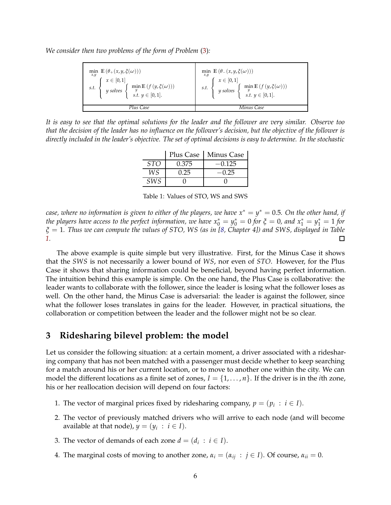*We consider then two problems of the form of Problem* [\(3\)](#page-3-1)*:*

| $\label{eq:optimal} \begin{aligned} &\underset{x,y}{\text{min}} \ \mathbb{E}\left(\theta_+(x,y,\xi(\omega))\right) \\ &\text{s.t.} \ \left\{ \begin{array}{l} x \in [0,1] \\ y \text{ solves } \left\{ \begin{array}{l} \min \mathbb{E}\left(f\left(y,\xi(\omega)\right)\right) \\ s.t. \ y \in [0,1]. \end{array} \right. \end{array} \right. \end{aligned} \right. \end{aligned}$ | min $\mathbb{E}(\theta_-(x,y,\xi(\omega)))$<br>s.t. $\begin{cases}\nx \in [0,1] \\ y \text{ solves } \begin{cases}\n\text{min } \mathbb{E}\left(f\left(y,\xi(\omega)\right)\right) \\ s.t. \ y \in [0,1].\n\end{cases}\n\end{cases}$ |  |
|-------------------------------------------------------------------------------------------------------------------------------------------------------------------------------------------------------------------------------------------------------------------------------------------------------------------------------------------------------------------------------------|--------------------------------------------------------------------------------------------------------------------------------------------------------------------------------------------------------------------------------------|--|
| Plus Case                                                                                                                                                                                                                                                                                                                                                                           | Minus Case                                                                                                                                                                                                                           |  |

<span id="page-5-1"></span>*It is easy to see that the optimal solutions for the leader and the follower are very similar. Observe too that the decision of the leader has no influence on the follower's decision, but the objective of the follower is directly included in the leader's objective. The set of optimal decisions is easy to determine. In the stochastic*

|            | Plus Case | Minus Case |
|------------|-----------|------------|
| <b>STO</b> | 0.375     | $-0.125$   |
| WS         | 0.25      | $-0.25$    |
| <i>SWS</i> |           |            |

Table 1: Values of STO, WS and SWS

 $\epsilon$ *case, where no information is given to either of the players, we have*  $x^* = y^* = 0.5$ *. On the other hand, if the players have access to the perfect information, we have*  $x_0^* = y_0^* = 0$  *for*  $\xi = 0$ *, and*  $x_1^* = y_1^* = 1$  *for ξ* = 1*. Thus we can compute the values of STO, WS (as in [\[8,](#page-16-6) Chapter 4]) and SWS, displayed in Table [1.](#page-5-1)*  $\Box$ 

The above example is quite simple but very illustrative. First, for the Minus Case it shows that the *SWS* is not necessarily a lower bound of *WS*, nor even of *STO*. However, for the Plus Case it shows that sharing information could be beneficial, beyond having perfect information. The intuition behind this example is simple. On the one hand, the Plus Case is collaborative: the leader wants to collaborate with the follower, since the leader is losing what the follower loses as well. On the other hand, the Minus Case is adversarial: the leader is against the follower, since what the follower loses translates in gains for the leader. However, in practical situations, the collaboration or competition between the leader and the follower might not be so clear.

## <span id="page-5-0"></span>**3 Ridesharing bilevel problem: the model**

Let us consider the following situation: at a certain moment, a driver associated with a ridesharing company that has not been matched with a passenger must decide whether to keep searching for a match around his or her current location, or to move to another one within the city. We can model the different locations as a finite set of zones,  $I = \{1, \ldots, n\}$ . If the driver is in the *i*th zone, his or her reallocation decision will depend on four factors:

- 1. The vector of marginal prices fixed by ridesharing company,  $p = (p_i : i \in I)$ .
- 2. The vector of previously matched drivers who will arrive to each node (and will become available at that node),  $y = (y_i : i \in I)$ .
- 3. The vector of demands of each zone  $d = (d_i : i \in I)$ .
- 4. The marginal costs of moving to another zone,  $\alpha_i = (\alpha_{ij} : j \in I)$ . Of course,  $\alpha_{ii} = 0$ .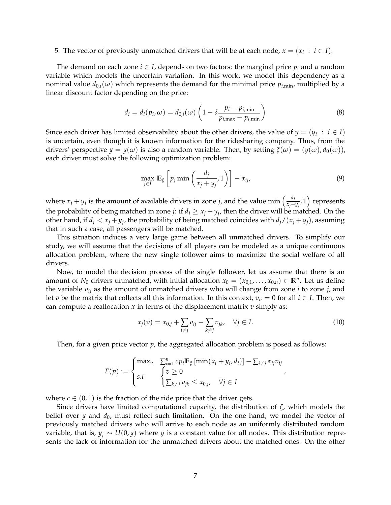#### 5. The vector of previously unmatched drivers that will be at each node,  $x = (x_i : i \in I)$ .

The demand on each zone  $i \in I$ , depends on two factors: the marginal price  $p_i$  and a random variable which models the uncertain variation. In this work, we model this dependency as a nominal value  $d_{0,i}(\omega)$  which represents the demand for the minimal price  $p_{i,\text{min}}$ , multiplied by a linear discount factor depending on the price:

<span id="page-6-0"></span>
$$
d_i = d_i(p_i, \omega) = d_{0,i}(\omega) \left( 1 - \delta \frac{p_i - p_{i,\min}}{p_{i,\max} - p_{i,\min}} \right)
$$
\n(8)

Since each driver has limited observability about the other drivers, the value of  $y = (y_i : i \in I)$ is uncertain, even though it is known information for the ridesharing company. Thus, from the drivers' perspective  $y = y(\omega)$  is also a random variable. Then, by setting  $\xi(\omega) = (y(\omega), d_0(\omega))$ , each driver must solve the following optimization problem:

$$
\max_{j\in I} \mathbb{E}_{\xi} \left[ p_j \min \left( \frac{d_j}{x_j + y_j}, 1 \right) \right] - \alpha_{ij}, \tag{9}
$$

where  $x_j + y_j$  is the amount of available drivers in zone *j*, and the value min  $\left(\frac{d_j}{x_j+1}\right)$  $\left(\frac{d_j}{x_j+y_j},1\right)$  represents the probability of being matched in zone *j*: if  $d_j \geq x_j + y_j$ , then the driver will be matched. On the other hand, if  $d_j < x_j + y_j$ , the probability of being matched coincides with  $d_j/(x_j + y_j)$ , assuming that in such a case, all passengers will be matched.

This situation induces a very large game between all unmatched drivers. To simplify our study, we will assume that the decisions of all players can be modeled as a unique continuous allocation problem, where the new single follower aims to maximize the social welfare of all drivers.

Now, to model the decision process of the single follower, let us assume that there is an amount of  $N_0$  drivers unmatched, with initial allocation  $x_0 = (x_{0,1}, \ldots, x_{0,n}) \in \mathbb{R}^n$ . Let us define the variable *vij* as the amount of unmatched drivers who will change from zone *i* to zone *j*, and let *v* be the matrix that collects all this information. In this context,  $v_{ii} = 0$  for all  $i \in I$ . Then, we can compute a reallocation *x* in terms of the displacement matrix *v* simply as:

<span id="page-6-1"></span>
$$
x_j(v) = x_{0,j} + \sum_{i \neq j} v_{ij} - \sum_{k \neq j} v_{jk}, \quad \forall j \in I.
$$
 (10)

,

Then, for a given price vector *p*, the aggregated allocation problem is posed as follows:

$$
F(p) := \begin{cases} \max_{v} & \sum_{i=1}^{n} cp_i \mathbb{E}_{\xi} \left[ \min(x_i + y_i, d_i) \right] - \sum_{i \neq j} \alpha_{ij} v_{ij} \\ s.t & \begin{cases} v \geq 0 \\ \sum_{k \neq j} v_{jk} \leq x_{0,j}, \quad \forall j \in I \end{cases} \end{cases}
$$

where  $c \in (0,1)$  is the fraction of the ride price that the driver gets.

Since drivers have limited computational capacity, the distribution of *ξ*, which models the belief over *y* and  $d_0$ , must reflect such limitation. On the one hand, we model the vector of previously matched drivers who will arrive to each node as an uniformly distributed random variable, that is,  $y_j \sim U(0, \bar{y})$  where  $\bar{y}$  is a constant value for all nodes. This distribution represents the lack of information for the unmatched drivers about the matched ones. On the other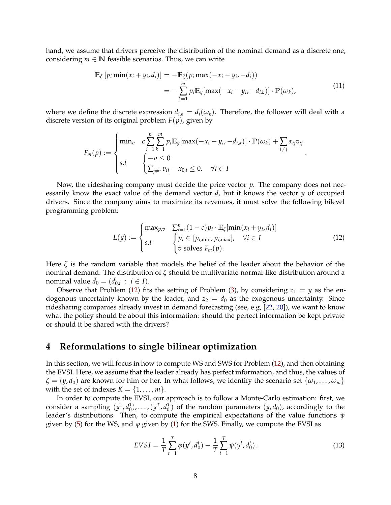hand, we assume that drivers perceive the distribution of the nominal demand as a discrete one, considering  $m \in \mathbb{N}$  feasible scenarios. Thus, we can write

<span id="page-7-2"></span>
$$
\mathbb{E}_{\xi}\left[p_i \min(x_i + y_i, d_i)\right] = -\mathbb{E}_{\xi}(p_i \max(-x_i - y_i, -d_i))
$$
\n
$$
= -\sum_{k=1}^{m} p_i \mathbb{E}_{y}[\max(-x_i - y_i, -d_{i,k})] \cdot \mathbb{P}(\omega_k), \tag{11}
$$

where we define the discrete expression  $d_{ik} = d_i(\omega_k)$ . Therefore, the follower will deal with a discrete version of its original problem *F*(*p*), given by

$$
F_m(p) := \begin{cases} \min_v & c \sum_{i=1}^n \sum_{k=1}^m p_i \mathbb{E}_y[\max(-x_i - y_i, -d_{i,k})] \cdot \mathbb{P}(\omega_k) + \sum_{i \neq j} \alpha_{ij} v_{ij} \\ s.t & \begin{cases} -v \le 0 \\ \sum_{j \neq i} v_{ij} - x_{0,i} \le 0, \quad \forall i \in I \end{cases} \end{cases}
$$

Now, the ridesharing company must decide the price vector *p*. The company does not necessarily know the exact value of the demand vector *d*, but it knows the vector *y* of occupied drivers. Since the company aims to maximize its revenues, it must solve the following bilevel programming problem:

<span id="page-7-1"></span>
$$
L(y) := \begin{cases} \max_{p,v} & \sum_{i=1}^{n} (1-c)p_i \cdot \mathbb{E}_{\zeta}[\min(x_i + y_i, d_i)] \\ s.t & \begin{cases} p_i \in [p_{i,\min}, p_{i,\max}], & \forall i \in I \\ v \text{ solves } F_m(p). \end{cases} \end{cases} \tag{12}
$$

.

Here  $\zeta$  is the random variable that models the belief of the leader about the behavior of the nominal demand. The distribution of *ζ* should be multivariate normal-like distribution around a nominal value  $\bar{d}_0 = (\bar{d}_{0,i} : i \in I)$ .

Observe that Problem [\(12\)](#page-7-1) fits the setting of Problem [\(3\)](#page-3-1), by considering  $z_1 = y$  as the endogenous uncertainty known by the leader, and  $z_2 = d_0$  as the exogenous uncertainty. Since ridesharing companies already invest in demand forecasting (see, e.g, [\[22,](#page-17-3) [20\]](#page-16-10)), we want to know what the policy should be about this information: should the perfect information be kept private or should it be shared with the drivers?

## <span id="page-7-0"></span>**4 Reformulations to single bilinear optimization**

In this section, we will focus in how to compute WS and SWS for Problem [\(12\)](#page-7-1), and then obtaining the EVSI. Here, we assume that the leader already has perfect information, and thus, the values of  $\zeta = (y, d_0)$  are known for him or her. In what follows, we identify the scenario set  $\{ \omega_1, \ldots, \omega_m \}$ with the set of indexes  $K = \{1, \ldots, m\}.$ 

In order to compute the EVSI, our approach is to follow a Monte-Carlo estimation: first, we consider a sampling  $(y^1, d_0^1), \ldots, (y^T, d_0^T)$  of the random parameters  $(y, d_0)$ , accordingly to the leader's distributions. Then, to compute the empirical expectations of the value functions *ψ* given by [\(5\)](#page-4-0) for the WS, and  $\varphi$  given by [\(1\)](#page-2-0) for the SWS. Finally, we compute the EVSI as

$$
EVSI = \frac{1}{T} \sum_{t=1}^{T} \varphi(y^t, d_0^t) - \frac{1}{T} \sum_{t=1}^{T} \psi(y^t, d_0^t).
$$
 (13)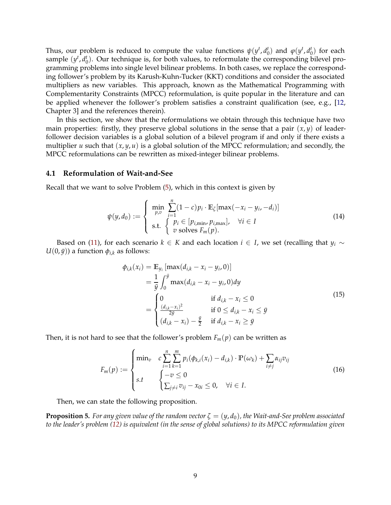Thus, our problem is reduced to compute the value functions  $\psi(y^t, d_0^t)$  and  $\varphi(y^t, d_0^t)$  for each sample  $(y^t, d_0^t)$ . Our technique is, for both values, to reformulate the corresponding bilevel programming problems into single level bilinear problems. In both cases, we replace the corresponding follower's problem by its Karush-Kuhn-Tucker (KKT) conditions and consider the associated multipliers as new variables. This approach, known as the Mathematical Programming with Complementarity Constraints (MPCC) reformulation, is quite popular in the literature and can be applied whenever the follower's problem satisfies a constraint qualification (see, e.g., [\[12,](#page-16-5) Chapter 3] and the references therein).

In this section, we show that the reformulations we obtain through this technique have two main properties: firstly, they preserve global solutions in the sense that a pair  $(x, y)$  of leaderfollower decision variables is a global solution of a bilevel program if and only if there exists a multiplier *u* such that  $(x, y, u)$  is a global solution of the MPCC reformulation; and secondly, the MPCC reformulations can be rewritten as mixed-integer bilinear problems.

#### **4.1 Reformulation of Wait-and-See**

Recall that we want to solve Problem [\(5\)](#page-4-0), which in this context is given by

$$
\psi(y, d_0) := \begin{cases}\n\min_{p, v} \sum_{i=1}^{n} (1 - c) p_i \cdot \mathbb{E}_{\zeta}[\max(-x_i - y_i, -d_i)] \\
\text{s.t.} \begin{cases}\n p_i \in [p_{i, \min}, p_{i, \max}], \quad \forall i \in I \\
 v \text{ solves } F_m(p).\n\end{cases}\n\end{cases} (14)
$$

Based on [\(11\)](#page-7-2), for each scenario  $k \in K$  and each location  $i \in I$ , we set (recalling that  $y_i \sim$  $U(0, \bar{y})$ ) a function  $\phi_{i,k}$  as follows:

<span id="page-8-2"></span>
$$
\phi_{i,k}(x_i) = \mathbb{E}_{y_i} [\max(d_{i,k} - x_i - y_i, 0)] \n= \frac{1}{\bar{y}} \int_0^{\bar{y}} \max(d_{i,k} - x_i - y_i, 0) dy \n= \begin{cases}\n0 & \text{if } d_{i,k} - x_i \le 0 \\
\frac{(d_{i,k} - x_i)^2}{2\bar{y}} & \text{if } 0 \le d_{i,k} - x_i \le \bar{y} \\
(d_{i,k} - x_i) - \frac{\bar{y}}{2} & \text{if } d_{i,k} - x_i \ge \bar{y}\n\end{cases}
$$
\n(15)

Then, it is not hard to see that the follower's problem  $F_m(p)$  can be written as

<span id="page-8-1"></span>
$$
F_m(p) := \begin{cases} \min_v & c \sum_{i=1}^n \sum_{k=1}^m p_i(\phi_{k,i}(x_i) - d_{i,k}) \cdot \mathbb{P}(\omega_k) + \sum_{i \neq j} \alpha_{ij} v_{ij} \\ s.t & \begin{cases} -v \le 0 \\ \sum_{j \neq i} v_{ij} - x_{0i} \le 0, \quad \forall i \in I. \end{cases} \end{cases}
$$
(16)

Then, we can state the following proposition.

<span id="page-8-0"></span>**Proposition 5.** For any given value of the random vector  $\zeta = (y, d_0)$ , the Wait-and-See problem associated *to the leader's problem [\(12\)](#page-7-1) is equivalent (in the sense of global solutions) to its MPCC reformulation given*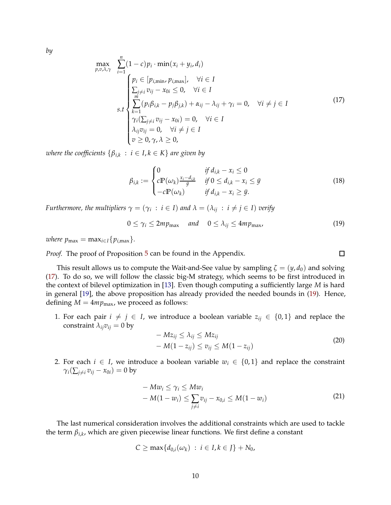*by*

<span id="page-9-0"></span>
$$
\max_{p,\nu,\lambda,\gamma} \sum_{i=1}^{n} (1-c)p_i \cdot \min(x_i + y_i, d_i)
$$
\n
$$
\sum_{j=1}^{n} (p_i \in [p_{i,\min}, p_{i,\max}], \forall i \in I
$$
\n
$$
\sum_{j \neq i}^{n} v_{ij} - x_{0i} \leq 0, \forall i \in I
$$
\n
$$
\sum_{k=1}^{n} (p_i \beta_{i,k} - p_j \beta_{j,k}) + \alpha_{ij} - \lambda_{ij} + \gamma_i = 0, \forall i \neq j \in I
$$
\n
$$
\gamma_i(\sum_{j \neq i} v_{ij} - x_{0i}) = 0, \forall i \in I
$$
\n
$$
\lambda_{ij} v_{ij} = 0, \forall i \neq j \in I
$$
\n(17)

 $\nu$  *where the coefficients*  $\{\beta_{i,k}\ :\ i\in I, k\in K\}$  are given by

*n*

<span id="page-9-2"></span>
$$
\beta_{i,k} := \begin{cases}\n0 & \text{if } d_{i,k} - x_i \le 0 \\
c \mathbb{P}(\omega_k) \frac{x_i - d_{i,k}}{\bar{y}} & \text{if } 0 \le d_{i,k} - x_i \le \bar{y} \\
-c \mathbb{P}(\omega_k) & \text{if } d_{i,k} - x_i \ge \bar{y}.\n\end{cases}
$$
\n(18)

*Furthermore, the multipliers*  $\gamma = (\gamma_i \, : \, i \in I)$  and  $\lambda = (\lambda_{ij} \, : \, i \neq j \in I)$  verify

<span id="page-9-1"></span>
$$
0 \le \gamma_i \le 2mp_{\max} \quad \text{and} \quad 0 \le \lambda_{ij} \le 4mp_{\max}, \tag{19}
$$

*where*  $p_{\text{max}} = \max_{i \in I} \{p_{i,\text{max}}\}.$ 

*Proof.* The proof of Proposition [5](#page-8-0) can be found in the Appendix.

This result allows us to compute the Wait-and-See value by sampling  $\zeta = (y, d_0)$  and solving [\(17\)](#page-9-0). To do so, we will follow the classic big-M strategy, which seems to be first introduced in the context of bilevel optimization in [\[13\]](#page-16-11). Even though computing a sufficiently large *M* is hard in general [\[19\]](#page-16-12), the above proposition has already provided the needed bounds in [\(19\)](#page-9-1). Hence, defining  $M = 4mp_{\text{max}}$ , we proceed as follows:

1. For each pair  $i \neq j \in I$ , we introduce a boolean variable  $z_{ij} \in \{0,1\}$  and replace the constraint  $\lambda_{ij}v_{ij} = 0$  by

$$
- Mz_{ij} \le \lambda_{ij} \le Mz_{ij}
$$
  
-  $M(1 - z_{ij}) \le v_{ij} \le M(1 - z_{ij})$  (20)

2. For each  $i \in I$ , we introduce a boolean variable  $w_i \in \{0,1\}$  and replace the constraint  $\gamma_i(\sum_{j\neq i} v_{ij} - x_{0i}) = 0$  by

$$
- M w_i \leq \gamma_i \leq M w_i
$$
  
- M(1 - w\_i) \leq \sum\_{j \neq i} v\_{ij} - x\_{0,i} \leq M(1 - w\_i) (21)

The last numerical consideration involves the additional constraints which are used to tackle the term *βi*,*<sup>k</sup>* , which are given piecewise linear functions. We first define a constant

$$
C \geq \max\{d_{0,i}(\omega_k) : i \in I, k \in J\} + N_0,
$$

 $\square$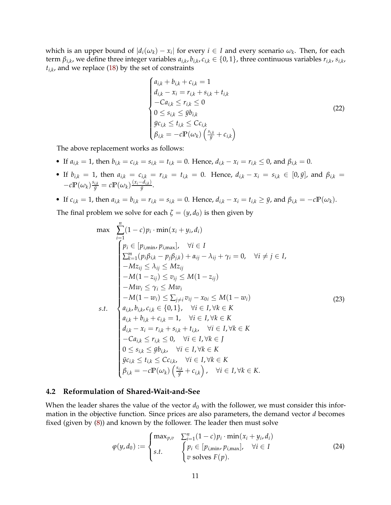which is an upper bound of  $|d_i(\omega_k) - x_i|$  for every  $i \in I$  and every scenario  $\omega_k$ . Then, for each term  $\beta_{i,k}$ , we define three integer variables  $a_{i,k}$ ,  $b_{i,k}$ ,  $c_{i,k}\in\{0,1\}$ , three continuous variables  $r_{i,k}$ ,  $s_{i,k}$ , *ti*,*k* , and we replace [\(18\)](#page-9-2) by the set of constraints

$$
\begin{cases}\na_{i,k} + b_{i,k} + c_{i,k} = 1 \\
d_{i,k} - x_i = r_{i,k} + s_{i,k} + t_{i,k} \\
-Ca_{i,k} \le r_{i,k} \le 0 \\
0 \le s_{i,k} \le \bar{y}b_{i,k} \\
\bar{y}c_{i,k} \le t_{i,k} \le Cc_{i,k} \\
\beta_{i,k} = -c\mathbb{P}(\omega_k) \left(\frac{s_{i,k}}{\bar{y}} + c_{i,k}\right)\n\end{cases}
$$
\n(22)

The above replacement works as follows:

- If  $a_{i,k} = 1$ , then  $b_{i,k} = c_{i,k} = s_{i,k} = t_{i,k} = 0$ . Hence,  $d_{i,k} x_i = r_{i,k} \le 0$ , and  $\beta_{i,k} = 0$ .
- If  $b_{i,k} = 1$ , then  $a_{i,k} = c_{i,k} = r_{i,k} = t_{i,k} = 0$ . Hence,  $d_{i,k} x_i = s_{i,k} \in [0, \bar{y}]$ , and  $\beta_{i,k} =$  $-c\mathbb{P}(\omega_k)\frac{s_{i,k}}{\bar{y}}=c\mathbb{P}(\omega_k)\frac{(x_i-d_{i,k})}{\bar{y}}$  $\frac{u_{i,kj}}{\bar{y}}$ .
- If  $c_{i,k} = 1$ , then  $a_{i,k} = b_{i,k} = r_{i,k} = s_{i,k} = 0$ . Hence,  $d_{i,k} x_i = t_{i,k} \ge \bar{y}$ , and  $\beta_{i,k} = -c\mathbb{P}(\omega_k)$ .

The final problem we solve for each  $\zeta = (y, d_0)$  is then given by

<span id="page-10-0"></span>max 
$$
\sum_{i=1}^{n} (1 - c)p_i \cdot \min(x_i + y_i, d_i)
$$
\n
$$
\begin{cases}\n\hat{p}_i \in [p_{i,\min}, p_{i,\max}], & \forall i \in I \\
\sum_{k=1}^{m} (p_i \beta_{i,k} - p_j \beta_{j,k}) + \alpha_{ij} - \lambda_{ij} + \gamma_i = 0, & \forall i \neq j \in I, \\
-Mz_{ij} \leq \lambda_{ij} \leq Mz_{ij} \\
-M(1 - z_{ij}) \leq v_{ij} \leq M(1 - z_{ij}) \\
-Mw_i \leq \gamma_i \leq Mw_i \\
-M(1 - w_i) \leq \sum_{j \neq i} v_{ij} - x_{0i} \leq M(1 - w_i) \\
a_{i,k}, b_{i,k}, c_{i,k} \in \{0, 1\}, & \forall i \in I, \forall k \in K \\
a_{i,k} + b_{i,k} + c_{i,k} = 1, & \forall i \in I, \forall k \in K \\
d_{i,k} - x_i = r_{i,k} + s_{i,k} + t_{i,k}, & \forall i \in I, \forall k \in K \\
-Ca_{i,k} \leq r_{i,k} \leq 0, & \forall i \in I, \forall k \in I \\
0 \leq s_{i,k} \leq y b_{i,k}, & \forall i \in I, \forall k \in K \\
\bar{y}c_{i,k} \leq t_{i,k} \leq Cc_{i,k}, & \forall i \in I, \forall k \in K \\
\beta_{i,k} = -c \mathbb{P}(\omega_k) \left( \frac{s_{i,k}}{y} + c_{i,k} \right), & \forall i \in I, \forall k \in K.\n\end{cases}
$$
\n(23)

#### **4.2 Reformulation of Shared-Wait-and-See**

When the leader shares the value of the vector  $d_0$  with the follower, we must consider this information in the objective function. Since prices are also parameters, the demand vector *d* becomes fixed (given by [\(8\)](#page-6-0)) and known by the follower. The leader then must solve

<span id="page-10-1"></span>
$$
\varphi(y, d_0) := \begin{cases} \max_{p,v} & \sum_{i=1}^n (1-c)p_i \cdot \min(x_i + y_i, d_i) \\ s.t. & \begin{cases} p_i \in [p_{i,\min}, p_{i,\max}], & \forall i \in I \\ v \text{ solves } F(p). \end{cases} \end{cases} \tag{24}
$$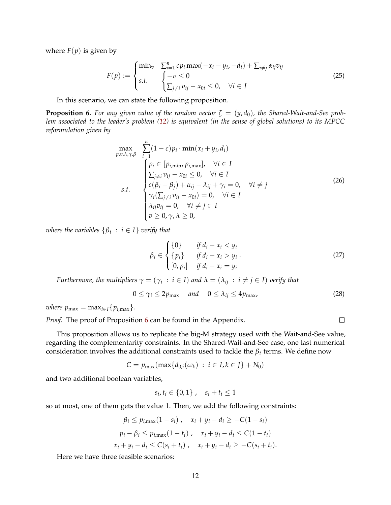where  $F(p)$  is given by

$$
F(p) := \begin{cases} \min_{v} & \sum_{i=1}^{n} cp_i \max(-x_i - y_i, -d_i) + \sum_{i \neq j} \alpha_{ij} v_{ij} \\ s.t. & \begin{cases} -v \leq 0 \\ \sum_{j \neq i} v_{ij} - x_{0i} \leq 0, \quad \forall i \in I \end{cases} \end{cases} \tag{25}
$$

In this scenario, we can state the following proposition.

<span id="page-11-0"></span>**Proposition 6.** For any given value of the random vector  $\zeta = (y, d_0)$ , the Shared-Wait-and-See prob*lem associated to the leader's problem [\(12\)](#page-7-1) is equivalent (in the sense of global solutions) to its MPCC reformulation given by*

<span id="page-11-1"></span>
$$
\max_{p,v,\lambda,\gamma,\beta} \sum_{i=1}^{n} (1-c)p_i \cdot \min(x_i + y_i, d_i)
$$
\n
$$
\begin{cases}\n p_i \in [p_{i,\min}, p_{i,\max}], & \forall i \in I \\
 \sum_{j \neq i} v_{ij} - x_{0i} \leq 0, & \forall i \in I \\
 c(\beta_i - \beta_j) + \alpha_{ij} - \lambda_{ij} + \gamma_i = 0, & \forall i \neq j \\
 \gamma_i(\sum_{j \neq i} v_{ij} - x_{0i}) = 0, & \forall i \in I \\
 \lambda_{ij} v_{ij} = 0, & \forall i \neq j \in I \\
 v \geq 0, \gamma, \lambda \geq 0,\n\end{cases}
$$
\n(26)

*where the variables* {*β<sup>i</sup>* : *i* ∈ *I*} *verify that*

<span id="page-11-2"></span>
$$
\beta_i \in \begin{cases} \{0\} & \text{if } d_i - x_i < y_i \\ \{p_i\} & \text{if } d_i - x_i > y_i \\ [0, p_i] & \text{if } d_i - x_i = y_i \end{cases} \tag{27}
$$

*Furthermore, the multipliers*  $\gamma = (\gamma_i \, : \, i \in I)$  and  $\lambda = (\lambda_{ij} \, : \, i \neq j \in I)$  verify that

$$
0 \le \gamma_i \le 2p_{\text{max}} \quad \text{and} \quad 0 \le \lambda_{ij} \le 4p_{\text{max}}, \tag{28}
$$

*where*  $p_{\text{max}} = \max_{i \in I} \{p_{i,\text{max}}\}.$ 

*Proof.* The proof of Proposition [6](#page-11-0) can be found in the Appendix.

This proposition allows us to replicate the big-M strategy used with the Wait-and-See value, regarding the complementarity constraints. In the Shared-Wait-and-See case, one last numerical consideration involves the additional constraints used to tackle the *β<sup>i</sup>* terms. We define now

$$
C = p_{\max}(\max\{d_{0,i}(\omega_k) : i \in I, k \in J\} + N_0)
$$

and two additional boolean variables,

$$
s_i, t_i \in \{0, 1\}, \quad s_i + t_i \leq 1
$$

so at most, one of them gets the value 1. Then, we add the following constraints:

$$
\beta_i \le p_{i,\max}(1-s_i), \quad x_i + y_i - d_i \ge -C(1-s_i)
$$
  
\n
$$
p_i - \beta_i \le p_{i,\max}(1-t_i), \quad x_i + y_i - d_i \le C(1-t_i)
$$
  
\n
$$
x_i + y_i - d_i \le C(s_i + t_i), \quad x_i + y_i - d_i \ge -C(s_i + t_i).
$$

Here we have three feasible scenarios:

 $\Box$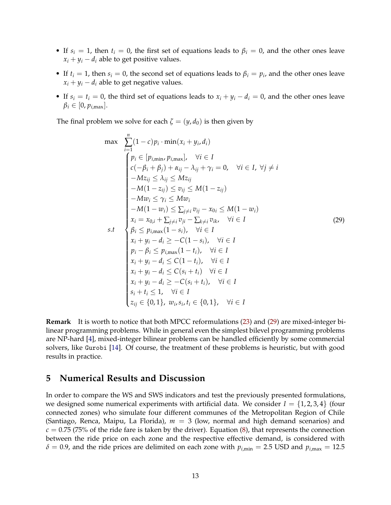- If  $s_i = 1$ , then  $t_i = 0$ , the first set of equations leads to  $\beta_i = 0$ , and the other ones leave  $x_i + y_i - d_i$  able to get positive values.
- If  $t_i = 1$ , then  $s_i = 0$ , the second set of equations leads to  $\beta_i = p_i$ , and the other ones leave  $x_i + y_i - d_i$  able to get negative values.
- If  $s_i = t_i = 0$ , the third set of equations leads to  $x_i + y_i d_i = 0$ , and the other ones leave  $\beta_i \in [0, p_{i, \text{max}}].$

The final problem we solve for each  $\zeta = (y, d_0)$  is then given by

<span id="page-12-1"></span>
$$
\max \sum_{i=1}^{n} (1-c)p_i \cdot \min(x_i + y_i, d_i)
$$
\n
$$
\begin{cases}\n\begin{aligned}\n\begin{aligned}\n\begin{aligned}\n\begin{aligned}\n\begin{aligned}\n\begin{aligned}\n\begin{aligned}\n\begin{aligned}\n\begin{aligned}\n\begin{aligned}\n\begin{aligned}\n\begin{aligned}\n\begin{aligned}\n\begin{aligned}\n\begin{aligned}\n\begin{aligned}\n\begin{aligned}\n\begin{aligned}\n\begin{aligned}\n\begin{aligned}\n\begin{aligned}\n\begin{aligned}\n\begin{aligned}\n\begin{aligned}\n\begin{aligned}\n\begin{aligned}\n\begin{aligned}\n\begin{aligned}\n\begin{aligned}\n\begin{aligned}\n\begin{aligned}\n\begin{aligned}\n\begin{aligned}\n\begin{aligned}\n\begin{aligned}\n\begin{aligned}\n\begin{aligned}\n\begin{aligned}\n\begin{aligned}\n\begin{aligned}\n\begin{aligned}\n\begin{aligned}\n\begin{aligned}\n\begin{aligned}\n\begin{aligned}\n\begin{aligned}\n\begin{aligned}\n\begin{aligned}\n\begin{aligned}\n\begin{aligned}\n\begin{aligned}\n\begin{aligned}\n\begin{aligned}\n\begin{aligned}\n\begin{aligned}\n\begin{aligned}\n\begin{aligned}\n\end{aligned}\n\end{aligned}\n\end{aligned}\n\end{aligned}\n\end{aligned}\n\end{aligned}\n\end{aligned}\n\end{cases}\n\end{cases}\n\end{cases}\n\end{cases}\n\end{cases}\n\end{cases}\n\begin{cases}\n\begin{aligned}\n\begin{aligned}\n\begin{aligned}\n\begin{aligned}\n\begin{aligned}\n\begin{aligned}\n\begin{aligned}\n\begin{aligned}\n\begin{aligned}\n\begin{aligned}\n\begin{aligned}\n\begin{aligned}\n\begin{aligned}\n\begin{aligned}\n\begin{aligned}\n\begin{aligned}\n\begin{aligned}\n\begin{aligned}\n\begin{aligned}\n\begin{aligned}\n\begin{aligned}\n\begin{aligned}\n\begin{aligned}\n\begin{aligned}\n\begin{aligned}\n\begin{aligned}\n\begin{aligned}\n\begin{aligned}\n\begin{aligned}\n\begin{aligned}\n\begin{aligned}\n\begin{aligned}\n\begin{aligned}\n\begin{aligned}\n\begin{aligned}\n\begin{aligned}\n\begin{aligned}\n\begin{aligned}\n\begin{aligned}\n\begin{aligned}\n\begin{aligned}\n\begin{aligned}\n\begin{aligned}\n\begin{aligned}\n\end{aligned}\n\end{aligned}\n\end{aligned}\n\end{aligned}\n\end
$$

**Remark** It is worth to notice that both MPCC reformulations [\(23\)](#page-10-0) and [\(29\)](#page-12-1) are mixed-integer bilinear programming problems. While in general even the simplest bilevel programming problems are NP-hard [\[4\]](#page-15-2), mixed-integer bilinear problems can be handled efficiently by some commercial solvers, like Gurobi [\[14\]](#page-16-13). Of course, the treatment of these problems is heuristic, but with good results in practice.

# <span id="page-12-0"></span>**5 Numerical Results and Discussion**

In order to compare the WS and SWS indicators and test the previously presented formulations, we designed some numerical experiments with artificial data. We consider  $I = \{1, 2, 3, 4\}$  (four connected zones) who simulate four different communes of the Metropolitan Region of Chile (Santiago, Renca, Maipu, La Florida), *m* = 3 (low, normal and high demand scenarios) and  $c = 0.75$  (75% of the ride fare is taken by the driver). Equation [\(8\)](#page-6-0), that represents the connection between the ride price on each zone and the respective effective demand, is considered with  $\delta$  = 0.9, and the ride prices are delimited on each zone with  $p_{i,min}$  = 2.5 USD and  $p_{i,max}$  = 12.5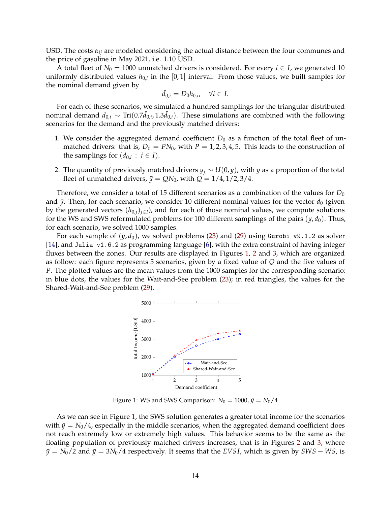USD. The costs *αij* are modeled considering the actual distance between the four communes and the price of gasoline in May 2021, i.e. 1.10 USD.

A total fleet of  $N_0 = 1000$  unmatched drivers is considered. For every  $i \in I$ , we generated 10 uniformly distributed values  $h_{0,i}$  in the  $[0,1]$  interval. From those values, we built samples for the nominal demand given by

$$
\bar{d}_{0,i}=D_0h_{0,i},\quad \forall i\in I.
$$

For each of these scenarios, we simulated a hundred samplings for the triangular distributed nominal demand  $d_{0,i}$  ∼ Tri(0.7 $\bar{d}_{0,i}$ , 1.3 $\bar{d}_{0,i}$ ). These simulations are combined with the following scenarios for the demand and the previously matched drivers:

- 1. We consider the aggregated demand coefficient  $D_0$  as a function of the total fleet of unmatched drivers: that is,  $D_0 = PN_0$ , with  $P = 1, 2, 3, 4, 5$ . This leads to the construction of the samplings for  $(d_{0,i}: i \in I)$ .
- 2. The quantity of previously matched drivers  $y_j \sim U(0,\bar{y})$ , with  $\bar{y}$  as a proportion of the total fleet of unmatched drivers,  $\bar{y} = QN_0$ , with  $Q = 1/4, 1/2, 3/4$ .

Therefore, we consider a total of 15 different scenarios as a combination of the values for  $D_0$ and  $\bar{y}$ . Then, for each scenario, we consider 10 different nominal values for the vector  $d_0$  (given by the generated vectors (*h*0,*j*)*j*∈*<sup>I</sup>* ), and for each of those nominal values, we compute solutions for the WS and SWS reformulated problems for 100 different samplings of the pairs (*y*, *d*0). Thus, for each scenario, we solved 1000 samples.

<span id="page-13-0"></span>For each sample of  $(y, d_0)$ , we solved problems [\(23\)](#page-10-0) and [\(29\)](#page-12-1) using Gurobi v9.1.2 as solver [\[14\]](#page-16-13), and Julia v1.6.2 as programming language [\[6\]](#page-16-14), with the extra constraint of having integer fluxes between the zones. Our results are displayed in Figures [1,](#page-13-0) [2](#page-14-1) and [3,](#page-14-1) which are organized as follow: each figure represents 5 scenarios, given by a fixed value of *Q* and the five values of *P*. The plotted values are the mean values from the 1000 samples for the corresponding scenario: in blue dots, the values for the Wait-and-See problem [\(23\)](#page-10-0); in red triangles, the values for the Shared-Wait-and-See problem [\(29\)](#page-12-1).



Figure 1: WS and SWS Comparison:  $N_0 = 1000$ ,  $\bar{y} = N_0/4$ 

As we can see in Figure [1,](#page-13-0) the SWS solution generates a greater total income for the scenarios with  $\bar{y} = N_0/4$ , especially in the middle scenarios, when the aggregated demand coefficient does not reach extremely low or extremely high values. This behavior seems to be the same as the floating population of previously matched drivers increases, that is in Figures [2](#page-14-1) and [3,](#page-14-1) where  $\bar{y} = N_0/2$  and  $\bar{y} = 3N_0/4$  respectively. It seems that the *EVSI*, which is given by *SWS* − *WS*, is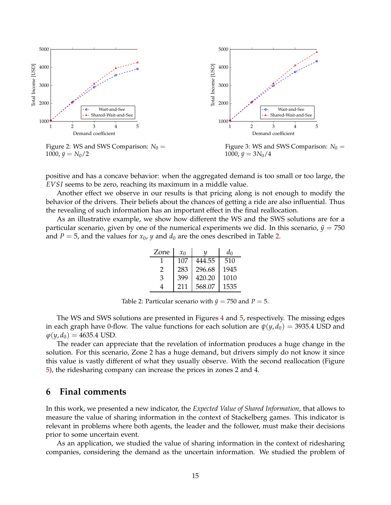<span id="page-14-1"></span>

positive and has a concave behavior: when the aggregated demand is too small or too large, the *EVSI* seems to be zero, reaching its maximum in a middle value.

Another effect we observe in our results is that pricing along is not enough to modify the behavior of the drivers. Their beliefs about the chances of getting a ride are also influential. Thus the revealing of such information has an important effect in the final reallocation.

<span id="page-14-2"></span>As an illustrative example, we show how different the WS and the SWS solutions are for a particular scenario, given by one of the numerical experiments we did. In this scenario,  $\bar{y} = 750$ and *P* = 5, and the values for  $x_0$ , *y* and  $d_0$  are the ones described in Table [2.](#page-14-2)

| Zone | $x_0$ |        | d٥   |
|------|-------|--------|------|
|      | 107   | 444.55 | 510  |
| 2    | 283   | 296.68 | 1945 |
| 3    | 399   | 420.20 | 1010 |
|      | 211   | 568.07 | 1535 |

Table 2: Particular scenario with  $\bar{y} = 750$  and  $P = 5$ .

The WS and SWS solutions are presented in Figures [4](#page-15-3) and [5,](#page-15-3) respectively. The missing edges in each graph have 0-flow. The value functions for each solution are  $\psi(y, d_0) = 3935.4$  USD and  $\varphi(y, d_0) = 4635.4$  USD.

The reader can appreciate that the revelation of information produces a huge change in the solution. For this scenario, Zone 2 has a huge demand, but drivers simply do not know it since this value is vastly different of what they usually observe. With the second reallocation (Figure [5\)](#page-15-3), the ridesharing company can increase the prices in zones 2 and 4.

## <span id="page-14-0"></span>**6 Final comments**

In this work, we presented a new indicator, the *Expected Value of Shared Information*, that allows to measure the value of sharing information in the context of Stackelberg games. This indicator is relevant in problems where both agents, the leader and the follower, must make their decisions prior to some uncertain event.

As an application, we studied the value of sharing information in the context of ridesharing companies, considering the demand as the uncertain information. We studied the problem of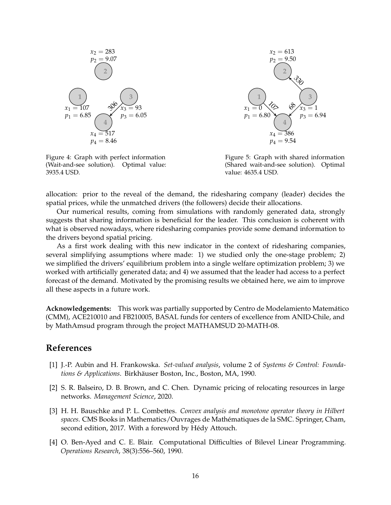<span id="page-15-3"></span>

Figure 4: Graph with perfect information (Wait-and-see solution). Optimal value: 3935.4 USD.



Figure 5: Graph with shared information (Shared wait-and-see solution). Optimal value: 4635.4 USD.

allocation: prior to the reveal of the demand, the ridesharing company (leader) decides the spatial prices, while the unmatched drivers (the followers) decide their allocations.

Our numerical results, coming from simulations with randomly generated data, strongly suggests that sharing information is beneficial for the leader. This conclusion is coherent with what is observed nowadays, where ridesharing companies provide some demand information to the drivers beyond spatial pricing.

As a first work dealing with this new indicator in the context of ridesharing companies, several simplifying assumptions where made: 1) we studied only the one-stage problem; 2) we simplified the drivers' equilibrium problem into a single welfare optimization problem; 3) we worked with artificially generated data; and 4) we assumed that the leader had access to a perfect forecast of the demand. Motivated by the promising results we obtained here, we aim to improve all these aspects in a future work.

Acknowledgements: This work was partially supported by Centro de Modelamiento Matemático (CMM), ACE210010 and FB210005, BASAL funds for centers of excellence from ANID-Chile, and by MathAmsud program through the project MATHAMSUD 20-MATH-08.

# <span id="page-15-1"></span>**References**

- [1] J.-P. Aubin and H. Frankowska. *Set-valued analysis*, volume 2 of *Systems & Control: Foundations & Applications.* Birkhäuser Boston, Inc., Boston, MA, 1990.
- <span id="page-15-0"></span>[2] S. R. Balseiro, D. B. Brown, and C. Chen. Dynamic pricing of relocating resources in large networks. *Management Science*, 2020.
- <span id="page-15-4"></span>[3] H. H. Bauschke and P. L. Combettes. *Convex analysis and monotone operator theory in Hilbert spaces*. CMS Books in Mathematics/Ouvrages de Math´ematiques de la SMC. Springer, Cham, second edition, 2017. With a foreword by Hédy Attouch.
- <span id="page-15-2"></span>[4] O. Ben-Ayed and C. E. Blair. Computational Difficulties of Bilevel Linear Programming. *Operations Research*, 38(3):556–560, 1990.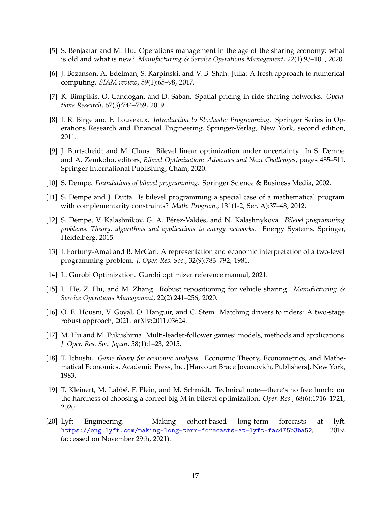- <span id="page-16-14"></span><span id="page-16-3"></span>[5] S. Benjaafar and M. Hu. Operations management in the age of the sharing economy: what is old and what is new? *Manufacturing & Service Operations Management*, 22(1):93–101, 2020.
- <span id="page-16-0"></span>[6] J. Bezanson, A. Edelman, S. Karpinski, and V. B. Shah. Julia: A fresh approach to numerical computing. *SIAM review*, 59(1):65–98, 2017.
- <span id="page-16-6"></span>[7] K. Bimpikis, O. Candogan, and D. Saban. Spatial pricing in ride-sharing networks. *Operations Research*, 67(3):744–769, 2019.
- [8] J. R. Birge and F. Louveaux. *Introduction to Stochastic Programming*. Springer Series in Operations Research and Financial Engineering. Springer-Verlag, New York, second edition, 2011.
- <span id="page-16-7"></span>[9] J. Burtscheidt and M. Claus. Bilevel linear optimization under uncertainty. In S. Dempe and A. Zemkoho, editors, *Bilevel Optimization: Advances and Next Challenges*, pages 485–511. Springer International Publishing, Cham, 2020.
- <span id="page-16-15"></span><span id="page-16-4"></span>[10] S. Dempe. *Foundations of bilevel programming*. Springer Science & Business Media, 2002.
- [11] S. Dempe and J. Dutta. Is bilevel programming a special case of a mathematical program with complementarity constraints? *Math. Program.*, 131(1-2, Ser. A):37–48, 2012.
- <span id="page-16-5"></span>[12] S. Dempe, V. Kalashnikov, G. A. P´erez-Vald´es, and N. Kalashnykova. *Bilevel programming problems. Theory, algorithms and applications to energy networks*. Energy Systems. Springer, Heidelberg, 2015.
- <span id="page-16-11"></span>[13] J. Fortuny-Amat and B. McCarl. A representation and economic interpretation of a two-level programming problem. *J. Oper. Res. Soc.*, 32(9):783–792, 1981.
- <span id="page-16-13"></span><span id="page-16-1"></span>[14] L. Gurobi Optimization. Gurobi optimizer reference manual, 2021.
- [15] L. He, Z. Hu, and M. Zhang. Robust repositioning for vehicle sharing. *Manufacturing & Service Operations Management*, 22(2):241–256, 2020.
- <span id="page-16-2"></span>[16] O. E. Housni, V. Goyal, O. Hanguir, and C. Stein. Matching drivers to riders: A two-stage robust approach, 2021. arXiv:2011.03624.
- <span id="page-16-9"></span>[17] M. Hu and M. Fukushima. Multi-leader-follower games: models, methods and applications. *J. Oper. Res. Soc. Japan*, 58(1):1–23, 2015.
- <span id="page-16-8"></span>[18] T. Ichiishi. *Game theory for economic analysis*. Economic Theory, Econometrics, and Mathematical Economics. Academic Press, Inc. [Harcourt Brace Jovanovich, Publishers], New York, 1983.
- <span id="page-16-12"></span>[19] T. Kleinert, M. Labbé, F. Plein, and M. Schmidt. Technical note—there's no free lunch: on the hardness of choosing a correct big-M in bilevel optimization. *Oper. Res.*, 68(6):1716–1721, 2020.
- <span id="page-16-10"></span>[20] Lyft Engineering. Making cohort-based long-term forecasts at lyft. <https://eng.lyft.com/making-long-term-forecasts-at-lyft-fac475b3ba52>, 2019. (accessed on November 29th, 2021).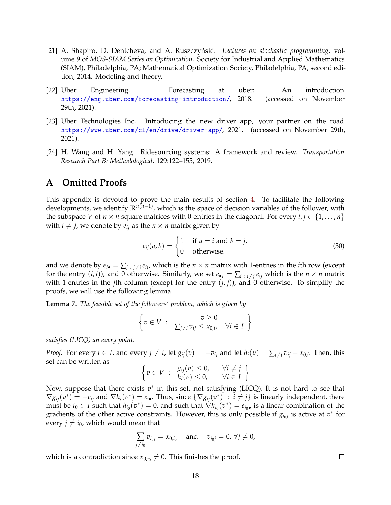- <span id="page-17-2"></span>[21] A. Shapiro, D. Dentcheva, and A. Ruszczyński. *Lectures on stochastic programming*, volume 9 of *MOS-SIAM Series on Optimization*. Society for Industrial and Applied Mathematics (SIAM), Philadelphia, PA; Mathematical Optimization Society, Philadelphia, PA, second edition, 2014. Modeling and theory.
- <span id="page-17-3"></span>[22] Uber Engineering. Forecasting at uber: An introduction. <https://eng.uber.com/forecasting-introduction/>, 2018. (accessed on November 29th, 2021).
- <span id="page-17-1"></span>[23] Uber Technologies Inc. Introducing the new driver app, your partner on the road. <https://www.uber.com/cl/en/drive/driver-app/>, 2021. (accessed on November 29th, 2021).
- <span id="page-17-0"></span>[24] H. Wang and H. Yang. Ridesourcing systems: A framework and review. *Transportation Research Part B: Methodological*, 129:122–155, 2019.

## **A Omitted Proofs**

This appendix is devoted to prove the main results of section [4.](#page-7-0) To facilitate the following developments, we identify  $\mathbb{R}^{n(n-1)}$ , which is the space of decision variables of the follower, with the subspace *V* of  $n \times n$  square matrices with 0-entries in the diagonal. For every  $i, j \in \{1, ..., n\}$ with  $i \neq j$ , we denote by  $e_{ij}$  as the  $n \times n$  matrix given by

$$
e_{ij}(a,b) = \begin{cases} 1 & \text{if } a = i \text{ and } b = j, \\ 0 & \text{otherwise.} \end{cases}
$$
 (30)

and we denote by  $e_{i\bullet} = \sum_{j \; : \; j \neq i} e_{ij}$ , which is the  $n \times n$  matrix with 1-entries in the *i*th row (except for the entry  $(i, i)$ ), and 0 otherwise. Similarly, we set  $e_{\bullet j} = \sum_{i} \sum_{i} e_{ij}$  which is the  $n \times n$  matrix with 1-entries in the *j*th column (except for the entry  $(j, j)$ ), and 0 otherwise. To simplify the proofs, we will use the following lemma.

<span id="page-17-4"></span>**Lemma 7.** *The feasible set of the followers' problem, which is given by*

$$
\left\{v \in V : \sum_{j \neq i} v_{ij} \leq x_{0,i}, \forall i \in I\right\}
$$

*satisfies (LICQ) an every point.*

*Proof.* For every  $i \in I$ , and every  $j \neq i$ , let  $g_{ij}(v) = -v_{ij}$  and let  $h_i(v) = \sum_{j \neq i} v_{ij} - x_{0,i}$ . Then, this set can be written as

$$
\left\{ v \in V : \begin{array}{ll} g_{ij}(v) \leq 0, & \forall i \neq j \\ h_i(v) \leq 0, & \forall i \in I \end{array} \right\}
$$

Now, suppose that there exists  $v^*$  in this set, not satisfying (LICQ). It is not hard to see that  $\nabla g_{ij}(v^*) = -e_{ij}$  and  $\nabla h_i(v^*) = e_{i\bullet}$ . Thus, since  $\{\nabla g_{ij}(v^*) : i \neq j\}$  is linearly independent, there must be  $i_0 \in I$  such that  $h_{i_0}(v^*) = 0$ , and such that  $\nabla h_{i_0}(v^*) = e_{i_0}$  is a linear combination of the gradients of the other active constraints. However, this is only possible if  $g_{i_0j}$  is active at  $v^*$  for every  $j \neq i_0$ , which would mean that

$$
\sum_{j \neq i_0} v_{i_0j} = x_{0,i_0} \text{ and } v_{i_0j} = 0, \,\forall j \neq 0,
$$

which is a contradiction since  $x_{0,i_0}\neq 0$ . This finishes the proof.

 $\Box$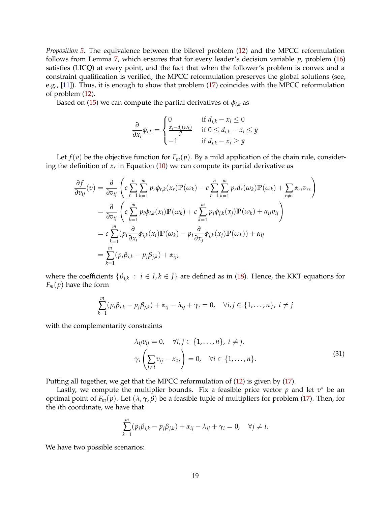*Proposition [5.](#page-8-0)* The equivalence between the bilevel problem [\(12\)](#page-7-1) and the MPCC reformulation follows from Lemma [7,](#page-17-4) which ensures that for every leader's decision variable *p*, problem [\(16\)](#page-8-1) satisfies (LICQ) at every point, and the fact that when the follower's problem is convex and a constraint qualification is verified, the MPCC reformulation preserves the global solutions (see, e.g., [\[11\]](#page-16-15)). Thus, it is enough to show that problem [\(17\)](#page-9-0) coincides with the MPCC reformulation of problem [\(12\)](#page-7-1).

Based on [\(15\)](#page-8-2) we can compute the partial derivatives of  $\phi_{i,k}$  as

$$
\frac{\partial}{\partial x_i} \phi_{i,k} = \begin{cases} 0 & \text{if } d_{i,k} - x_i \le 0 \\ \frac{x_i - d_i(\omega_k)}{\bar{y}} & \text{if } 0 \le d_{i,k} - x_i \le \bar{y} \\ -1 & \text{if } d_{i,k} - x_i \ge \bar{y} \end{cases}
$$

Let  $f(v)$  be the objective function for  $F_m(p)$ . By a mild application of the chain rule, considering the definition of *x<sup>r</sup>* in Equation [\(10\)](#page-6-1) we can compute its partial derivative as

$$
\frac{\partial f}{\partial v_{ij}}(v) = \frac{\partial}{\partial v_{ij}} \left( c \sum_{r=1}^{n} \sum_{k=1}^{m} p_r \phi_{r,k}(x_r) \mathbb{P}(\omega_k) - c \sum_{r=1}^{n} \sum_{k=1}^{m} p_r d_r(\omega_k) \mathbb{P}(\omega_k) + \sum_{r \neq s} \alpha_{rs} v_{rs} \right)
$$
\n
$$
= \frac{\partial}{\partial v_{ij}} \left( c \sum_{k=1}^{m} p_i \phi_{i,k}(x_i) \mathbb{P}(\omega_k) + c \sum_{k=1}^{m} p_j \phi_{j,k}(x_j) \mathbb{P}(\omega_k) + \alpha_{ij} v_{ij} \right)
$$
\n
$$
= c \sum_{k=1}^{m} (p_i \frac{\partial}{\partial x_i} \phi_{i,k}(x_i) \mathbb{P}(\omega_k) - p_j \frac{\partial}{\partial x_j} \phi_{j,k}(x_j) \mathbb{P}(\omega_k) + \alpha_{ij}
$$
\n
$$
= \sum_{k=1}^{m} (p_i \beta_{i,k} - p_j \beta_{j,k}) + \alpha_{ij},
$$

where the coefficients  $\{\beta_{i,k} : i \in I, k \in J\}$  are defined as in [\(18\)](#page-9-2). Hence, the KKT equations for  $F_m(p)$  have the form

$$
\sum_{k=1}^m (p_i\beta_{i,k}-p_j\beta_{j,k})+\alpha_{ij}-\lambda_{ij}+\gamma_i=0, \quad \forall i,j\in\{1,\ldots,n\},\ i\neq j
$$

with the complementarity constraints

<span id="page-18-0"></span>
$$
\lambda_{ij}v_{ij} = 0, \quad \forall i, j \in \{1, \dots, n\}, i \neq j.
$$
\n
$$
\gamma_i \left(\sum_{j \neq i} v_{ij} - x_{0i}\right) = 0, \quad \forall i \in \{1, \dots, n\}.
$$
\n(31)

Putting all together, we get that the MPCC reformulation of [\(12\)](#page-7-1) is given by [\(17\)](#page-9-0).

Lastly, we compute the multiplier bounds. Fix a feasible price vector  $p$  and let  $v^*$  be an optimal point of *F<sub>m</sub>*(*p*). Let (*λ*, *γ*, *β*) be a feasible tuple of multipliers for problem [\(17\)](#page-9-0). Then, for the *i*th coordinate, we have that

$$
\sum_{k=1}^m (p_i \beta_{i,k} - p_j \beta_{j,k}) + \alpha_{ij} - \lambda_{ij} + \gamma_i = 0, \quad \forall j \neq i.
$$

We have two possible scenarios: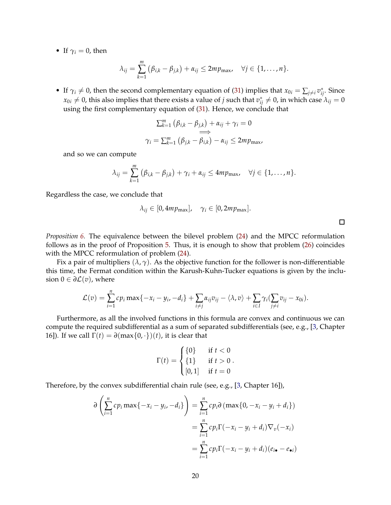• If  $\gamma_i = 0$ , then

$$
\lambda_{ij}=\sum_{k=1}^m(\beta_{i,k}-\beta_{j,k})+\alpha_{ij}\leq 2mp_{\max},\quad \forall j\in\{1,\ldots,n\}.
$$

• If  $\gamma_i \neq 0$ , then the second complementary equation of [\(31\)](#page-18-0) implies that  $x_{0i} = \sum_{j \neq i} v_{ij}^*$ . Since  $x_{0i}\neq 0$ , this also implies that there exists a value of  $j$  such that  $v_{ij}^*\neq 0$ , in which case  $\lambda_{ij}=0$ using the first complementary equation of [\(31\)](#page-18-0). Hence, we conclude that

$$
\sum_{k=1}^{m} (\beta_{i,k} - \beta_{j,k}) + \alpha_{ij} + \gamma_i = 0
$$
  
\n
$$
\implies
$$
  
\n
$$
\gamma_i = \sum_{k=1}^{m} (\beta_{j,k} - \beta_{i,k}) - \alpha_{ij} \le 2mp_{\text{max}}
$$

and so we can compute

$$
\lambda_{ij} = \sum_{k=1}^m (\beta_{i,k} - \beta_{j,k}) + \gamma_i + \alpha_{ij} \leq 4mp_{\max}, \quad \forall j \in \{1, ..., n\}.
$$

Regardless the case, we conclude that

$$
\lambda_{ij} \in [0, 4mp_{\text{max}}], \quad \gamma_i \in [0, 2mp_{\text{max}}].
$$

*Proposition [6.](#page-11-0)* The equivalence between the bilevel problem [\(24\)](#page-10-1) and the MPCC reformulation follows as in the proof of Proposition [5.](#page-8-0) Thus, it is enough to show that problem [\(26\)](#page-11-1) coincides with the MPCC reformulation of problem  $(24)$ .

Fix a pair of multipliers  $(\lambda, \gamma)$ . As the objective function for the follower is non-differentiable this time, the Fermat condition within the Karush-Kuhn-Tucker equations is given by the inclusion  $0 \in \partial \mathcal{L}(v)$ , where

$$
\mathcal{L}(v) = \sum_{i=1}^n cp_i \max\{-x_i - y_i, -d_i\} + \sum_{i \neq j} \alpha_{ij} v_{ij} - \langle \lambda, v \rangle + \sum_{i \in I} \gamma_i (\sum_{j \neq i} v_{ij} - x_{0i}).
$$

Furthermore, as all the involved functions in this formula are convex and continuous we can compute the required subdifferential as a sum of separated subdifferentials (see, e.g., [\[3,](#page-15-4) Chapter 16]). If we call  $\Gamma(t) = \partial(\max\{0, \cdot\})$  *(t)*, it is clear that

$$
\Gamma(t) = \begin{cases} \{0\} & \text{if } t < 0 \\ \{1\} & \text{if } t > 0 \\ [0, 1] & \text{if } t = 0 \end{cases}
$$

Therefore, by the convex subdifferential chain rule (see, e.g., [\[3,](#page-15-4) Chapter 16]),

$$
\partial \left( \sum_{i=1}^{n} cp_i \max\{-x_i - y_i, -d_i\} \right) = \sum_{i=1}^{n} cp_i \partial \left( \max\{0, -x_i - y_i + d_i\} \right)
$$

$$
= \sum_{i=1}^{n} cp_i \Gamma(-x_i - y_i + d_i) \nabla_v(-x_i)
$$

$$
= \sum_{i=1}^{n} cp_i \Gamma(-x_i - y_i + d_i) (e_{i \bullet} - e_{\bullet i})
$$